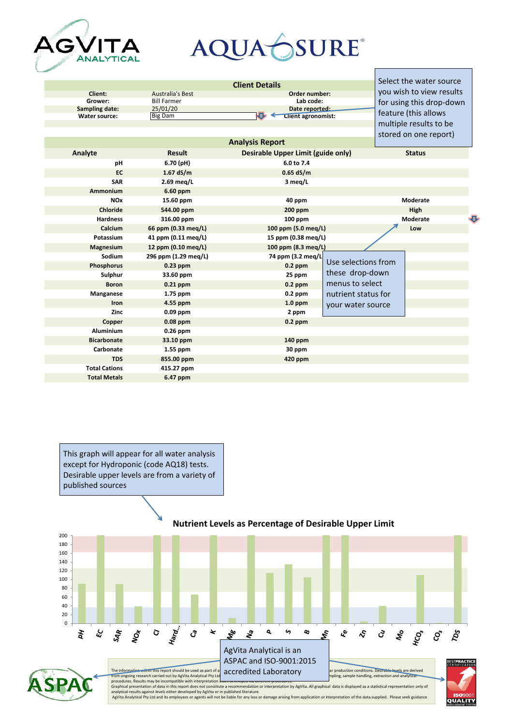

## AQUAÓSURE®

| <b>Client Details</b>  |                         |                                             |                     | Select the water source  |                       |  |
|------------------------|-------------------------|---------------------------------------------|---------------------|--------------------------|-----------------------|--|
| Client:                | <b>Australia's Best</b> | Order number:                               |                     | you wish to view results |                       |  |
| Grower:                | <b>Bill Farmer</b>      | Lab code:                                   |                     | for using this drop-down |                       |  |
| Sampling date:         | 25/01/20                | Date reported:<br><b>Client agronomist:</b> |                     |                          | feature (this allows  |  |
| <b>Water source:</b>   | <b>Big Dam</b>          |                                             |                     | multiple results to be   |                       |  |
|                        |                         |                                             |                     |                          |                       |  |
| <b>Analysis Report</b> |                         |                                             |                     |                          | stored on one report) |  |
| Analyte                | <b>Result</b>           | Desirable Upper Limit (guide only)          |                     |                          | <b>Status</b>         |  |
| pH                     | 6.70 (pH)               | 6.0 to 7.4                                  |                     |                          |                       |  |
| EC                     | $1.67$ dS/m             | $0.65$ dS/m                                 |                     |                          |                       |  |
| <b>SAR</b>             | 2.69 meg/L              | 3 meg/L                                     |                     |                          |                       |  |
| Ammonium               | 6.60 ppm                |                                             |                     |                          |                       |  |
| <b>NO<sub>x</sub></b>  | 15.60 ppm               | 40 ppm                                      |                     |                          | Moderate              |  |
| <b>Chloride</b>        | 544.00 ppm              | 200 ppm                                     |                     | High                     |                       |  |
| <b>Hardness</b>        | 316.00 ppm              | 100 ppm                                     |                     |                          | Moderate              |  |
| Calcium                | 66 ppm (0.33 meg/L)     | 100 ppm (5.0 meg/L)                         |                     |                          | Low                   |  |
| Potassium              | 41 ppm (0.11 meg/L)     | 15 ppm (0.38 meg/L)                         |                     |                          |                       |  |
| <b>Magnesium</b>       | 12 ppm (0.10 meg/L)     | 100 ppm (8.3 meg/L)                         |                     |                          |                       |  |
| Sodium                 | 296 ppm (1.29 meg/L)    | 74 ppm (3.2 meg/L                           |                     |                          |                       |  |
| <b>Phosphorus</b>      | $0.23$ ppm              | $0.2$ ppm                                   | Use selections from |                          |                       |  |
| Sulphur                | 33.60 ppm               | 25 ppm                                      | these drop-down     |                          |                       |  |
| <b>Boron</b>           | $0.21$ ppm              | $0.2$ ppm                                   | menus to select     |                          |                       |  |
| Manganese              | 1.75 ppm                | $0.2$ ppm                                   | nutrient status for |                          |                       |  |
| Iron                   | 4.55 ppm                | $1.0$ ppm                                   | your water source   |                          |                       |  |
| Zinc                   | $0.09$ ppm              | 2 ppm                                       |                     |                          |                       |  |
| Copper                 | $0.08$ ppm              | $0.2$ ppm                                   |                     |                          |                       |  |
| <b>Aluminium</b>       | $0.26$ ppm              |                                             |                     |                          |                       |  |
| <b>Bicarbonate</b>     | 33.10 ppm               | 140 ppm                                     |                     |                          |                       |  |
| Carbonate              | $1.55$ ppm              | 30 ppm                                      |                     |                          |                       |  |
| <b>TDS</b>             | 855.00 ppm              | 420 ppm                                     |                     |                          |                       |  |
| <b>Total Cations</b>   | 415.27 ppm              |                                             |                     |                          |                       |  |
| <b>Total Metals</b>    | 6.47 ppm                |                                             |                     |                          |                       |  |
|                        |                         |                                             |                     |                          |                       |  |



## **Nutrient Levels as Percentage of Desirable Upper Limit**